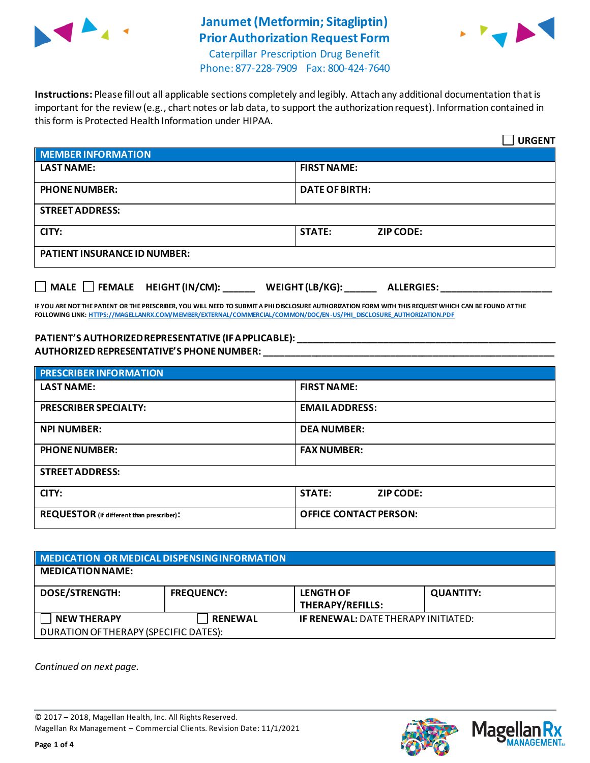

# **Janumet(Metformin; Sitagliptin) Prior Authorization Request Form**



Caterpillar Prescription Drug Benefit Phone: 877-228-7909 Fax: 800-424-7640

**Instructions:** Please fill out all applicable sections completely and legibly. Attach any additional documentation that is important for the review (e.g., chart notes or lab data, to support the authorization request). Information contained in this form is Protected Health Information under HIPAA.

|                                           | <b>URGENT</b>                        |  |  |
|-------------------------------------------|--------------------------------------|--|--|
| <b>MEMBER INFORMATION</b>                 |                                      |  |  |
| <b>LAST NAME:</b>                         | <b>FIRST NAME:</b>                   |  |  |
| <b>PHONE NUMBER:</b>                      | <b>DATE OF BIRTH:</b>                |  |  |
| <b>STREET ADDRESS:</b>                    |                                      |  |  |
| CITY:                                     | <b>STATE:</b><br><b>ZIP CODE:</b>    |  |  |
| <b>PATIENT INSURANCE ID NUMBER:</b>       |                                      |  |  |
| $\Box$ MALE $\Box$ FEMALE HEIGHT (IN/CM): | WEIGHT (LB/KG):<br><b>ALLERGIES:</b> |  |  |

**IF YOU ARE NOT THE PATIENT OR THE PRESCRIBER, YOU WILL NEED TO SUBMIT A PHI DISCLOSURE AUTHORIZATION FORM WITH THIS REQUEST WHICH CAN BE FOUND AT THE FOLLOWING LINK[: HTTPS://MAGELLANRX.COM/MEMBER/EXTERNAL/COMMERCIAL/COMMON/DOC/EN-US/PHI\\_DISCLOSURE\\_AUTHORIZATION.PDF](https://magellanrx.com/member/external/commercial/common/doc/en-us/PHI_Disclosure_Authorization.pdf)**

#### **PATIENT'S AUTHORIZED REPRESENTATIVE (IF APPLICABLE): \_\_\_\_\_\_\_\_\_\_\_\_\_\_\_\_\_\_\_\_\_\_\_\_\_\_\_\_\_\_\_\_\_\_\_\_\_\_\_\_\_\_\_\_\_\_\_\_\_ AUTHORIZED REPRESENTATIVE'S PHONE NUMBER: \_\_\_\_\_\_\_\_\_\_\_\_\_\_\_\_\_\_\_\_\_\_\_\_\_\_\_\_\_\_\_\_\_\_\_\_\_\_\_\_\_\_\_\_\_\_\_\_\_\_\_\_\_\_\_**

| <b>PRESCRIBER INFORMATION</b>             |                               |  |  |
|-------------------------------------------|-------------------------------|--|--|
| <b>LAST NAME:</b>                         | <b>FIRST NAME:</b>            |  |  |
| <b>PRESCRIBER SPECIALTY:</b>              | <b>EMAIL ADDRESS:</b>         |  |  |
| <b>NPI NUMBER:</b>                        | <b>DEA NUMBER:</b>            |  |  |
| <b>PHONE NUMBER:</b>                      | <b>FAX NUMBER:</b>            |  |  |
| <b>STREET ADDRESS:</b>                    |                               |  |  |
| CITY:                                     | <b>STATE:</b><br>ZIP CODE:    |  |  |
| REQUESTOR (if different than prescriber): | <b>OFFICE CONTACT PERSON:</b> |  |  |

| MEDICATION OR MEDICAL DISPENSING INFORMATION |                   |                                             |                  |  |  |
|----------------------------------------------|-------------------|---------------------------------------------|------------------|--|--|
| <b>MEDICATION NAME:</b>                      |                   |                                             |                  |  |  |
| <b>DOSE/STRENGTH:</b>                        | <b>FREQUENCY:</b> | <b>LENGTH OF</b><br><b>THERAPY/REFILLS:</b> | <b>QUANTITY:</b> |  |  |
| <b>NEW THERAPY</b>                           | <b>RENEWAL</b>    | <b>IF RENEWAL: DATE THERAPY INITIATED:</b>  |                  |  |  |
| DURATION OF THERAPY (SPECIFIC DATES):        |                   |                                             |                  |  |  |

*Continued on next page.*

© 2017 – 2018, Magellan Health, Inc. All Rights Reserved. Magellan Rx Management – Commercial Clients. Revision Date: 11/1/2021





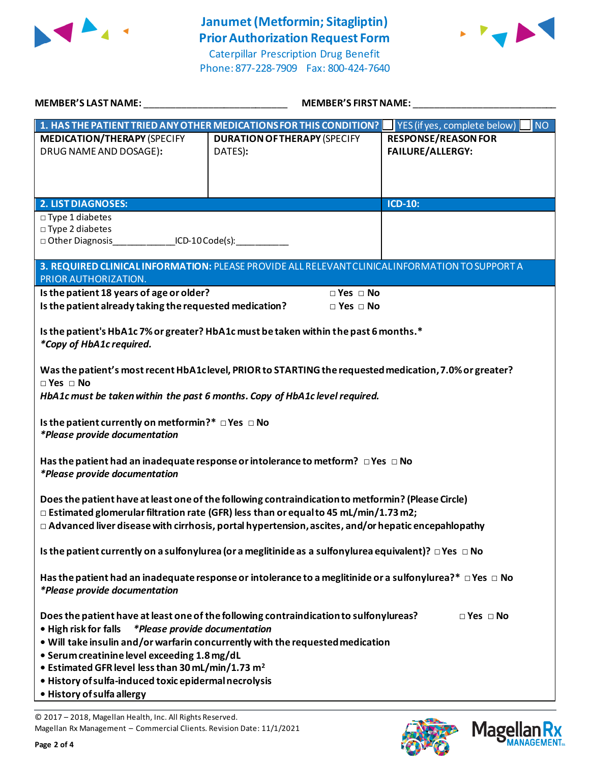

Phone: 877-228-7909 Fax: 800-424-7640



| MEMBER'S LAST NAME: NAMER AND THE RESERVE TO A LOCAL CONTROL OF THE RESERVE TO A LOCAL CONTROL CONTR                                                                                                                                                                                                          | <b>MEMBER'S FIRST NAME:</b>                                                                                                                                              |                                                       |  |  |
|---------------------------------------------------------------------------------------------------------------------------------------------------------------------------------------------------------------------------------------------------------------------------------------------------------------|--------------------------------------------------------------------------------------------------------------------------------------------------------------------------|-------------------------------------------------------|--|--|
|                                                                                                                                                                                                                                                                                                               | 1. HAS THE PATIENT TRIED ANY OTHER MEDICATIONS FOR THIS CONDITION? VES (if yes, complete below)                                                                          | <b>NO</b>                                             |  |  |
| <b>MEDICATION/THERAPY (SPECIFY</b><br>DRUG NAME AND DOSAGE):                                                                                                                                                                                                                                                  | <b>DURATION OF THERAPY (SPECIFY</b><br>DATES):                                                                                                                           | <b>RESPONSE/REASON FOR</b><br><b>FAILURE/ALLERGY:</b> |  |  |
|                                                                                                                                                                                                                                                                                                               |                                                                                                                                                                          |                                                       |  |  |
| <b>2. LIST DIAGNOSES:</b><br>$\square$ Type 1 diabetes<br>$\square$ Type 2 diabetes<br>□ Other Diagnosis ICD-10 Code(s):                                                                                                                                                                                      |                                                                                                                                                                          | ICD-10:                                               |  |  |
| PRIOR AUTHORIZATION.                                                                                                                                                                                                                                                                                          | 3. REQUIRED CLINICAL INFORMATION: PLEASE PROVIDE ALL RELEVANT CLINICAL INFORMATION TO SUPPORT A                                                                          |                                                       |  |  |
| Is the patient 18 years of age or older?<br>$\Box$ Yes $\Box$ No<br>Is the patient already taking the requested medication?<br>$\Box$ Yes $\Box$ No                                                                                                                                                           |                                                                                                                                                                          |                                                       |  |  |
| Is the patient's HbA1c 7% or greater? HbA1c must be taken within the past 6 months.*<br>*Copy of HbA1c required.                                                                                                                                                                                              |                                                                                                                                                                          |                                                       |  |  |
| Was the patient's most recent HbA1clevel, PRIOR to STARTING the requested medication, 7.0% or greater?<br>$\Box$ Yes $\Box$ No<br>HbA1c must be taken within the past 6 months. Copy of HbA1c level required.                                                                                                 |                                                                                                                                                                          |                                                       |  |  |
| Is the patient currently on metformin?* $\Box$ Yes $\Box$ No<br>*Please provide documentation                                                                                                                                                                                                                 |                                                                                                                                                                          |                                                       |  |  |
| Has the patient had an inadequate response or intolerance to metform? $\Box$ Yes $\Box$ No<br><i>*Please provide documentation</i>                                                                                                                                                                            |                                                                                                                                                                          |                                                       |  |  |
| Does the patient have at least one of the following contraindication to metformin? (Please Circle)<br>$\Box$ Estimated glomerular filtration rate (GFR) less than or equal to 45 mL/min/1.73 m2;<br>$\Box$ Advanced liver disease with cirrhosis, portal hypertension, ascites, and/or hepatic encepahlopathy |                                                                                                                                                                          |                                                       |  |  |
| Is the patient currently on a sulfonylurea (or a meglitinide as a sulfonylurea equivalent)? $\Box$ Yes $\Box$ No                                                                                                                                                                                              |                                                                                                                                                                          |                                                       |  |  |
| Has the patient had an inadequate response or intolerance to a meglitinide or a sulfonylurea?* $\Box$ Yes $\Box$ No<br><i>*Please provide documentation</i>                                                                                                                                                   |                                                                                                                                                                          |                                                       |  |  |
| <i>*Please provide documentation</i><br>• High risk for falls<br>• Serum creatinine level exceeding 1.8 mg/dL<br>• Estimated GFR level less than 30 mL/min/1.73 m <sup>2</sup><br>· History of sulfa-induced toxic epidermal necrolysis<br>• History of sulfa allergy                                         | Does the patient have at least one of the following contraindication to sulfonylureas?<br>. Will take insulin and/or warfarin concurrently with the requested medication | $\Box$ Yes $\Box$ No                                  |  |  |

© 2017 – 2018, Magellan Health, Inc. All Rights Reserved. Magellan Rx Management – Commercial Clients. Revision Date: 11/1/2021



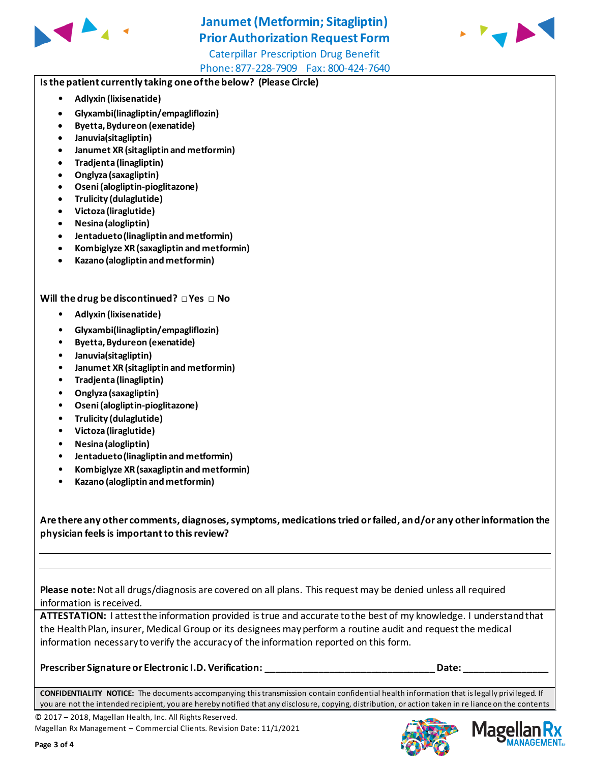

# **Janumet(Metformin; Sitagliptin) Prior Authorization Request Form**

Caterpillar Prescription Drug Benefit Phone: 877-228-7909 Fax: 800-424-7640



### **Is the patient currently taking one of the below? (Please Circle)**

- **Adlyxin (lixisenatide)**
- **Glyxambi(linagliptin/empagliflozin)**
- **Byetta, Bydureon (exenatide)**
- **Januvia(sitagliptin)**
- **Janumet XR (sitagliptin and metformin)**
- **Tradjenta (linagliptin)**
- **Onglyza (saxagliptin)**
- **Oseni (alogliptin-pioglitazone)**
- **Trulicity (dulaglutide)**
- **Victoza (liraglutide)**
- **Nesina (alogliptin)**
- **Jentadueto (linagliptin and metformin)**
- **Kombiglyze XR (saxagliptin and metformin)**
- **Kazano (alogliptin and metformin)**

### **Will the drug be discontinued? □ Yes □ No**

- **Adlyxin (lixisenatide)**
- **Glyxambi(linagliptin/empagliflozin)**
- **Byetta, Bydureon (exenatide)**
- **Januvia(sitagliptin)**
- **Janumet XR (sitagliptin and metformin)**
- **Tradjenta (linagliptin)**
- **Onglyza (saxagliptin)**
- **Oseni (alogliptin-pioglitazone)**
- **Trulicity (dulaglutide)**
- **Victoza (liraglutide)**
- **Nesina (alogliptin)**
- **Jentadueto (linagliptin and metformin)**
- **Kombiglyze XR (saxagliptin and metformin)**
- **Kazano (alogliptin and metformin)**

**Are there any other comments, diagnoses, symptoms, medications tried or failed, and/or any other information the physician feels is important to this review?**

**Please note:** Not all drugs/diagnosis are covered on all plans. This request may be denied unless all required information is received.

**ATTESTATION:** I attest the information provided is true and accurate to the best of my knowledge. I understand that the Health Plan, insurer, Medical Group or its designees may perform a routine audit and request the medical information necessary to verify the accuracy of the information reported on this form.

#### **Prescriber Signature or Electronic I.D. Verification: \_\_\_\_\_\_\_\_\_\_\_\_\_\_\_\_\_\_\_\_\_\_\_\_\_\_\_\_\_\_\_\_ Date: \_\_\_\_\_\_\_\_\_\_\_\_\_\_\_\_**

**CONFIDENTIALITY NOTICE:** The documents accompanying this transmission contain confidential health information that is legally privileged. If you are not the intended recipient, you are hereby notified that any disclosure, copying, distribution, or action taken in re liance on the contents

© 2017 – 2018, Magellan Health, Inc. All Rights Reserved.

Magellan Rx Management – Commercial Clients. Revision Date: 11/1/2021